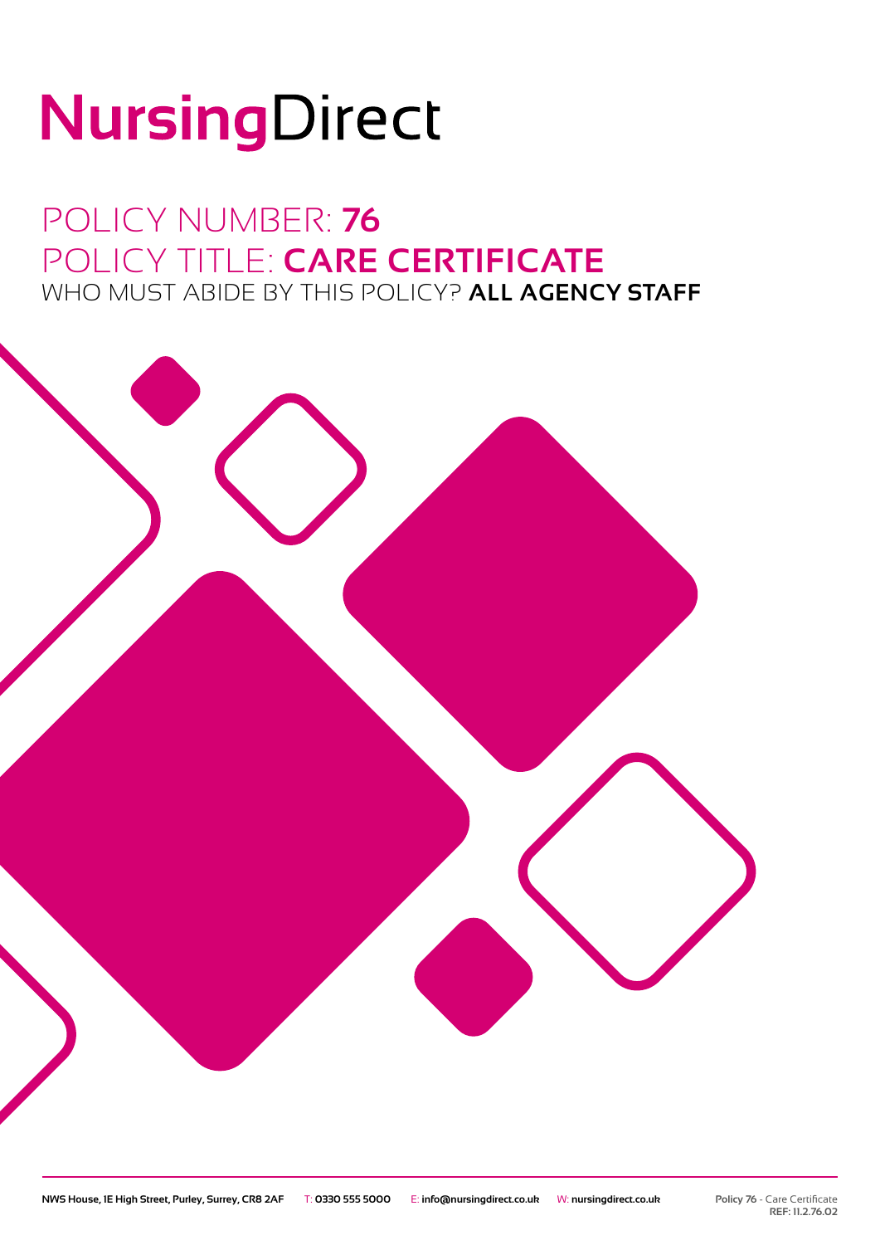# NursingDirect

### POLICY NUMBER: **76** POLICY TITLE: **CARE CERTIFICATE** WHO MUST ABIDE BY THIS POLICY? **ALL AGENCY STAFF**